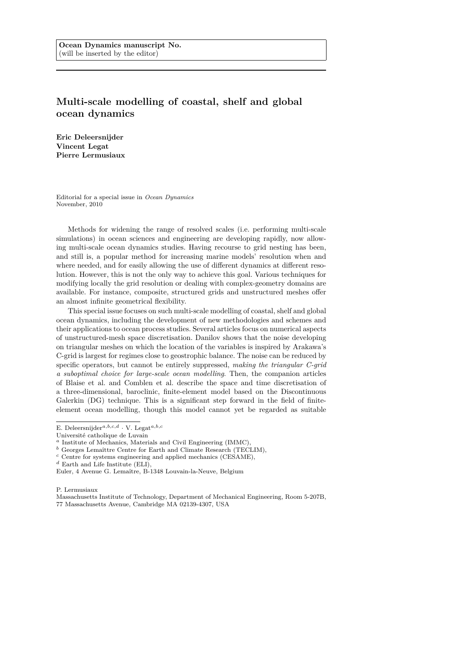## **Multi-scale modelling of coastal, shelf and global ocean dynamics**

**Eric Deleersnijder Vincent Legat Pierre Lermusiaux**

Editorial for a special issue in *Ocean Dynamics* November, 2010

Methods for widening the range of resolved scales (i.e. performing multi-scale simulations) in ocean sciences and engineering are developing rapidly, now allowing multi-scale ocean dynamics studies. Having recourse to grid nesting has been, and still is, a popular method for increasing marine models' resolution when and where needed, and for easily allowing the use of different dynamics at different resolution. However, this is not the only way to achieve this goal. Various techniques for modifying locally the grid resolution or dealing with complex-geometry domains are available. For instance, composite, structured grids and unstructured meshes offer an almost infinite geometrical flexibility.

This special issue focuses on such multi-scale modelling of coastal, shelf and global ocean dynamics, including the development of new methodologies and schemes and their applications to ocean process studies. Several articles focus on numerical aspects of unstructured-mesh space discretisation. Danilov shows that the noise developing on triangular meshes on which the location of the variables is inspired by Arakawa's C-grid is largest for regimes close to geostrophic balance. The noise can be reduced by specific operators, but cannot be entirely suppressed, *making the triangular C-grid a suboptimal choice for large-scale ocean modelling*. Then, the companion articles of Blaise et al. and Comblen et al. describe the space and time discretisation of a three-dimensional, baroclinic, finite-element model based on the Discontinuous Galerkin (DG) technique. This is a significant step forward in the field of finiteelement ocean modelling, though this model cannot yet be regarded as suitable

- <sup>*b*</sup> Georges Lemaîttre Centre for Earth and Climate Research (TECLIM),
- *<sup>c</sup>* Centre for systems engineering and applied mechanics (CESAME),

P. Lermusiaux

E. Deleersnijder*a,b,c,d* · V. Legat*a,b,c*

Université catholique de Luvain

*<sup>a</sup>* Institute of Mechanics, Materials and Civil Engineering (IMMC),

*<sup>d</sup>* Earth and Life Institute (ELI),

Euler, 4 Avenue G. Lemaître, B-1348 Louvain-la-Neuve, Belgium

Massachusetts Institute of Technology, Department of Mechanical Engineering, Room 5-207B, 77 Massachusetts Avenue, Cambridge MA 02139-4307, USA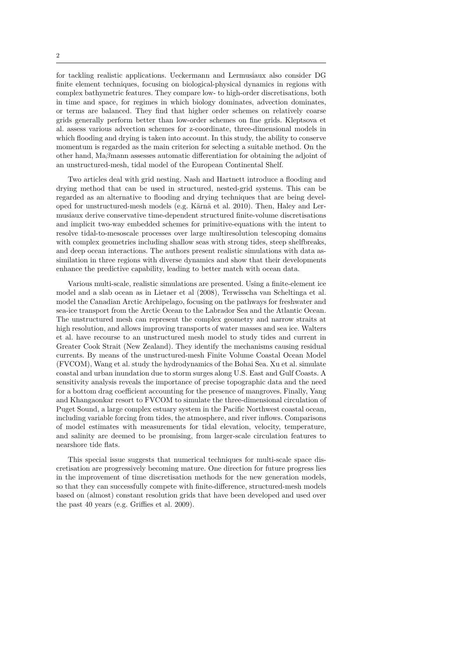for tackling realistic applications. Ueckermann and Lermusiaux also consider DG finite element techniques, focusing on biological-physical dynamics in regions with complex bathymetric features. They compare low- to high-order discretisations, both in time and space, for regimes in which biology dominates, advection dominates, or terms are balanced. They find that higher order schemes on relatively coarse grids generally perform better than low-order schemes on fine grids. Kleptsova et al. assess various advection schemes for z-coordinate, three-dimensional models in which flooding and drying is taken into account. In this study, the ability to conserve momentum is regarded as the main criterion for selecting a suitable method. On the other hand, Ma*β*mann assesses automatic differentiation for obtaining the adjoint of an unstructured-mesh, tidal model of the European Continental Shelf.

Two articles deal with grid nesting. Nash and Hartnett introduce a flooding and drying method that can be used in structured, nested-grid systems. This can be regarded as an alternative to flooding and drying techniques that are being developed for unstructured-mesh models (e.g. Kärnä et al. 2010). Then, Haley and Lermusiaux derive conservative time-dependent structured finite-volume discretisations and implicit two-way embedded schemes for primitive-equations with the intent to resolve tidal-to-mesoscale processes over large multiresolution telescoping domains with complex geometries including shallow seas with strong tides, steep shelfbreaks, and deep ocean interactions. The authors present realistic simulations with data assimilation in three regions with diverse dynamics and show that their developments enhance the predictive capability, leading to better match with ocean data.

Various multi-scale, realistic simulations are presented. Using a finite-element ice model and a slab ocean as in Lietaer et al (2008), Terwisscha van Scheltinga et al. model the Canadian Arctic Archipelago, focusing on the pathways for freshwater and sea-ice transport from the Arctic Ocean to the Labrador Sea and the Atlantic Ocean. The unstructured mesh can represent the complex geometry and narrow straits at high resolution, and allows improving transports of water masses and sea ice. Walters et al. have recourse to an unstructured mesh model to study tides and current in Greater Cook Strait (New Zealand). They identify the mechanisms causing residual currents. By means of the unstructured-mesh Finite Volume Coastal Ocean Model (FVCOM), Wang et al. study the hydrodynamics of the Bohai Sea. Xu et al. simulate coastal and urban inundation due to storm surges along U.S. East and Gulf Coasts. A sensitivity analysis reveals the importance of precise topographic data and the need for a bottom drag coefficient accounting for the presence of mangroves. Finally, Yang and Khangaonkar resort to FVCOM to simulate the three-dimensional circulation of Puget Sound, a large complex estuary system in the Pacific Northwest coastal ocean, including variable forcing from tides, the atmosphere, and river inflows. Comparisons of model estimates with measurements for tidal elevation, velocity, temperature, and salinity are deemed to be promising, from larger-scale circulation features to nearshore tide flats.

This special issue suggests that numerical techniques for multi-scale space discretisation are progressively becoming mature. One direction for future progress lies in the improvement of time discretisation methods for the new generation models, so that they can successfully compete with finite-difference, structured-mesh models based on (almost) constant resolution grids that have been developed and used over the past 40 years (e.g. Griffies et al. 2009).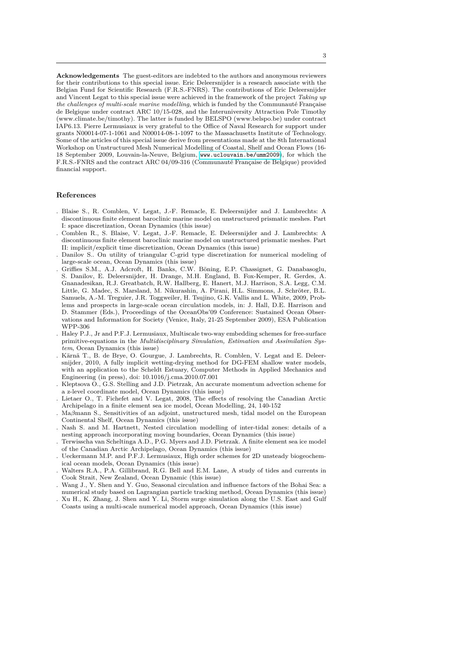**Acknowledgements** The guest-editors are indebted to the authors and anonymous reviewers for their contributions to this special issue. Eric Deleersnijder is a research associate with the Belgian Fund for Scientific Research (F.R.S.-FNRS). The contributions of Eric Deleersnijder and Vincent Legat to this special issue were achieved in the framework of the project *Taking up the challenges of multi-scale marine modelling*, which is funded by the Communauté Française de Belgique under contract ARC 10/15-028, and the Interuniversity Attraction Pole Timothy (www.climate.be/timothy). The latter is funded by BELSPO (www.belspo.be) under contract IAP6.13. Pierre Lermusiaux is very grateful to the Office of Naval Research for support under grants N00014-07-1-1061 and N00014-08-1-1097 to the Massachusetts Institute of Technology. Some of the articles of this special issue derive from presentations made at the 8th International Workshop on Unstructured Mesh Numerical Modelling of Coastal, Shelf and Ocean Flows (16- 18 September 2009, Louvain-la-Neuve, Belgium, <www.uclouvain.be/umm2009>), for which the F.R.S.-FNRS and the contract ARC 04/09-316 (Communauté Française de Belgique) provided financial support.

## **References**

- . Blaise S., R. Comblen, V. Legat, J.-F. Remacle, E. Deleersnijder and J. Lambrechts: A discontinuous finite element baroclinic marine model on unstructured prismatic meshes. Part I: space discretization, Ocean Dynamics (this issue)
- . Comblen R., S. Blaise, V. Legat, J.-F. Remacle, E. Deleersnijder and J. Lambrechts: A discontinuous finite element baroclinic marine model on unstructured prismatic meshes. Part II: implicit/explicit time discretization, Ocean Dynamics (this issue)
- . Danilov S.. On utility of triangular C-grid type discretization for numerical modeling of large-scale ocean, Ocean Dynamics (this issue)
- . Griffies S.M., A.J. Adcroft, H. Banks, C.W. Böning, E.P. Chassignet, G. Danabasoglu, S. Danilov, E. Deleersnijder, H. Drange, M.H. England, B. Fox-Kemper, R. Gerdes, A. Gnanadesikan, R.J. Greatbatch, R.W. Hallberg, E. Hanert, M.J. Harrison, S.A. Legg, C.M. Little, G. Madec, S. Marsland, M. Nikurashin, A. Pirani, H.L. Simmons, J. Schröter, B.L. Samuels, A.-M. Treguier, J.R. Toggweiler, H. Tsujino, G.K. Vallis and L. White, 2009, Problems and prospects in large-scale ocean circulation models, in: J. Hall, D.E. Harrison and D. Stammer (Eds.), Proceedings of the OceanObs'09 Conference: Sustained Ocean Observations and Information for Society (Venice, Italy, 21-25 September 2009), ESA Publication WPP-306
- . Haley P.J., Jr and P.F.J. Lermusiaux, Multiscale two-way embedding schemes for free-surface primitive-equations in the *Multidisciplinary Simulation, Estimation and Assimilation System*, Ocean Dynamics (this issue)
- . Kärnä T., B. de Brye, O. Gourgue, J. Lambrechts, R. Comblen, V. Legat and E. Deleersnijder, 2010, A fully implicit wetting-drying method for DG-FEM shallow water models, with an application to the Scheldt Estuary, Computer Methods in Applied Mechanics and Engineering (in press), doi: 10.1016/j.cma.2010.07.001
- . Kleptsova O., G.S. Stelling and J.D. Pietrzak, An accurate momentum advection scheme for a z-level coordinate model, Ocean Dynamics (this issue)
- . Lietaer O., T. Fichefet and V. Legat, 2008, The effects of resolving the Canadian Arctic Archipelago in a finite element sea ice model, Ocean Modelling, 24, 140-152
- . Ma*β*mann S., Sensitivities of an adjoint, unstructured mesh, tidal model on the European Continental Shelf, Ocean Dynamics (this issue)
- . Nash S. and M. Hartnett, Nested circulation modelling of inter-tidal zones: details of a nesting approach incorporating moving boundaries, Ocean Dynamics (this issue)
- . Terwisscha van Scheltinga A.D., P.G. Myers and J.D. Pietrzak. A finite element sea ice model of the Canadian Arctic Archipelago, Ocean Dynamics (this issue)
- . Ueckermann M.P. and P.F.J. Lermusiaux, High order schemes for 2D unsteady biogeochemical ocean models, Ocean Dynamics (this issue)
- . Walters R.A., P.A. Gillibrand, R.G. Bell and E.M. Lane, A study of tides and currents in Cook Strait, New Zealand, Ocean Dynamic (this issue)
- . Wang J., Y. Shen and Y. Guo, Seasonal circulation and influence factors of the Bohai Sea: a numerical study based on Lagrangian particle tracking method, Ocean Dynamics (this issue)
- . Xu H., K. Zhang, J. Shen and Y. Li, Storm surge simulation along the U.S. East and Gulf Coasts using a multi-scale numerical model approach, Ocean Dynamics (this issue)